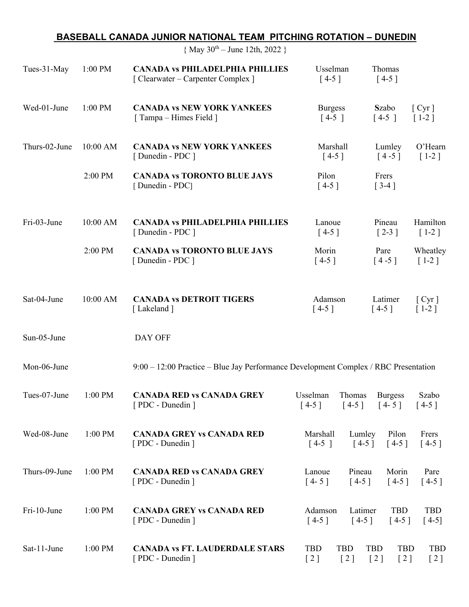## **BASEBALL CANADA JUNIOR NATIONAL TEAM PITCHING ROTATION – DUNEDIN**

|  |  |  | { May $30^{th}$ – June 12th, 2022 } |  |  |  |
|--|--|--|-------------------------------------|--|--|--|
|--|--|--|-------------------------------------|--|--|--|

| Tues-31-May   | 1:00 PM   | <b>CANADA vs PHILADELPHIA PHILLIES</b><br>[ Clearwater – Carpenter Complex ]        | Usselman<br>$[4-5]$                                         | Thomas<br>$[4-5]$                      |                                |
|---------------|-----------|-------------------------------------------------------------------------------------|-------------------------------------------------------------|----------------------------------------|--------------------------------|
| Wed-01-June   | 1:00 PM   | <b>CANADA vs NEW YORK YANKEES</b><br>[Tampa – Himes Field]                          | <b>Burgess</b><br>$[4-5]$                                   | Szabo<br>$[4-5]$                       | [ <b>Cyr</b> ]<br>$[1-2]$      |
| Thurs-02-June | 10:00 AM  | <b>CANADA vs NEW YORK YANKEES</b><br>[Dunedin - PDC]                                | Marshall<br>$[4-5]$                                         | Lumley<br>$[4-5]$                      | O'Hearn<br>$[1-2]$             |
|               | 2:00 PM   | <b>CANADA vs TORONTO BLUE JAYS</b><br>[Dunedin - PDC]                               | Pilon<br>$[4-5]$                                            | Frers<br>$\lceil 3-4 \rceil$           |                                |
| Fri-03-June   | 10:00 AM  | <b>CANADA vs PHILADELPHIA PHILLIES</b><br>[Dunedin - PDC]                           | Lanoue<br>$[4-5]$                                           | Pineau<br>$[2-3]$                      | Hamilton<br>$[1-2]$            |
|               | 2:00 PM   | <b>CANADA vs TORONTO BLUE JAYS</b><br>[Dunedin - PDC]                               | Morin<br>$[4-5]$                                            | Pare<br>$[4-5]$                        | Wheatley<br>$[1-2]$            |
| Sat-04-June   | 10:00 AM  | <b>CANADA vs DETROIT TIGERS</b><br>[Lakeland]                                       | Adamson<br>$[4-5]$                                          | Latimer<br>$[4-5]$                     | [ <i>Cyr</i> ]<br>$[1-2]$      |
| Sun-05-June   |           | DAY OFF                                                                             |                                                             |                                        |                                |
| Mon-06-June   |           | 9:00 - 12:00 Practice - Blue Jay Performance Development Complex / RBC Presentation |                                                             |                                        |                                |
| Tues-07-June  | $1:00$ PM | <b>CANADA RED vs CANADA GREY</b><br>[ PDC - Dunedin ]                               | Usselman<br>Thomas<br>$[4-5]$                               | <b>Burgess</b><br>$[4-5]$ $[4-5]$      | Szabo<br>$[4-5]$               |
| Wed-08-June   | 1:00 PM   | <b>CANADA GREY vs CANADA RED</b><br>[ PDC - Dunedin ]                               | Marshall<br>Lumley<br>$[4-5]$<br>$[4-5]$                    | Pilon<br>$[4-5]$                       | Frers<br>$[4-5]$               |
| Thurs-09-June | $1:00$ PM | <b>CANADA RED vs CANADA GREY</b><br>[ PDC - Dunedin ]                               | Lanoue<br>Pineau<br>$[4 - 5]$<br>$[4-5]$                    | Morin<br>$[4-5]$                       | Pare<br>$[4-5]$                |
| Fri-10-June   | $1:00$ PM | <b>CANADA GREY vs CANADA RED</b><br>[PDC - Dunedin ]                                | Adamson<br>Latimer<br>$[4-5]$<br>$[4-5]$                    | <b>TBD</b><br>$[4-5]$                  | <b>TBD</b><br>$[4-5]$          |
| Sat-11-June   | 1:00 PM   | <b>CANADA vs FT. LAUDERDALE STARS</b><br>[PDC - Dunedin ]                           | TBD<br><b>TBD</b><br>$\lceil 2 \rceil$<br>$\lceil 2 \rceil$ | <b>TBD</b><br><b>TBD</b><br>[2]<br>[2] | <b>TBD</b><br>$\left[2\right]$ |